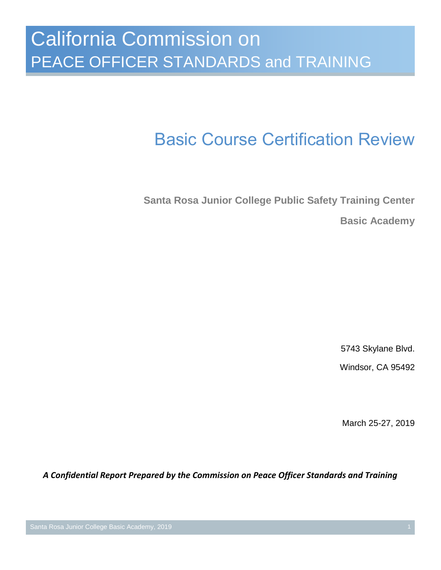# Basic Course Certification Review

**Santa Rosa Junior College Public Safety Training Center Basic Academy**

5743 Skylane Blvd.

Windsor, CA 95492

March 25-27, 2019

*A Confidential Report Prepared by the Commission on Peace Officer Standards and Training*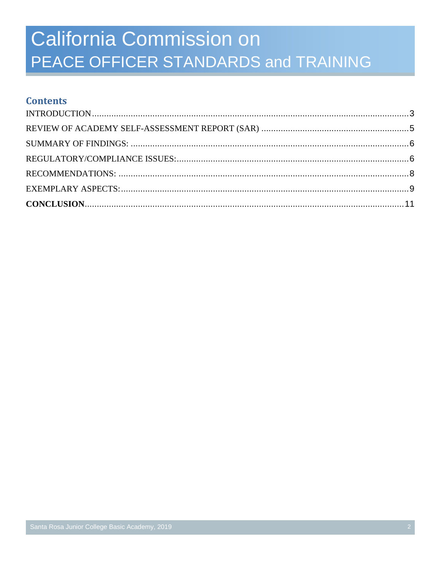### **Contents**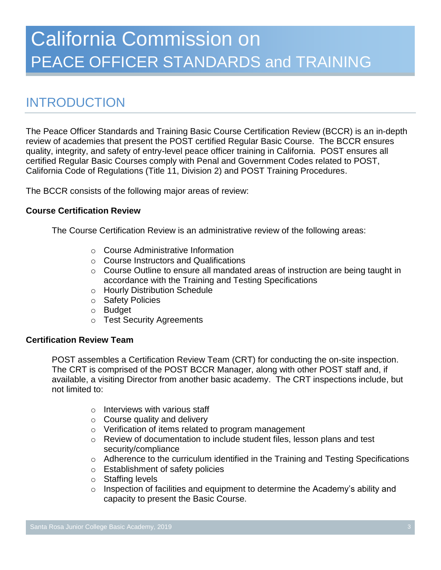## <span id="page-2-0"></span>INTRODUCTION

The Peace Officer Standards and Training Basic Course Certification Review (BCCR) is an in-depth review of academies that present the POST certified Regular Basic Course. The BCCR ensures quality, integrity, and safety of entry-level peace officer training in California. POST ensures all certified Regular Basic Courses comply with Penal and Government Codes related to POST, California Code of Regulations (Title 11, Division 2) and POST Training Procedures.

The BCCR consists of the following major areas of review:

#### **Course Certification Review**

The Course Certification Review is an administrative review of the following areas:

- o Course Administrative Information
- o Course Instructors and Qualifications
- o Course Outline to ensure all mandated areas of instruction are being taught in accordance with the Training and Testing Specifications
- o Hourly Distribution Schedule
- o Safety Policies
- o Budget
- o Test Security Agreements

#### **Certification Review Team**

POST assembles a Certification Review Team (CRT) for conducting the on-site inspection. The CRT is comprised of the POST BCCR Manager, along with other POST staff and, if available, a visiting Director from another basic academy. The CRT inspections include, but not limited to:

- $\circ$  Interviews with various staff
- $\circ$  Course quality and delivery
- o Verification of items related to program management
- o Review of documentation to include student files, lesson plans and test security/compliance
- o Adherence to the curriculum identified in the Training and Testing Specifications
- o Establishment of safety policies
- o Staffing levels
- $\circ$  Inspection of facilities and equipment to determine the Academy's ability and capacity to present the Basic Course.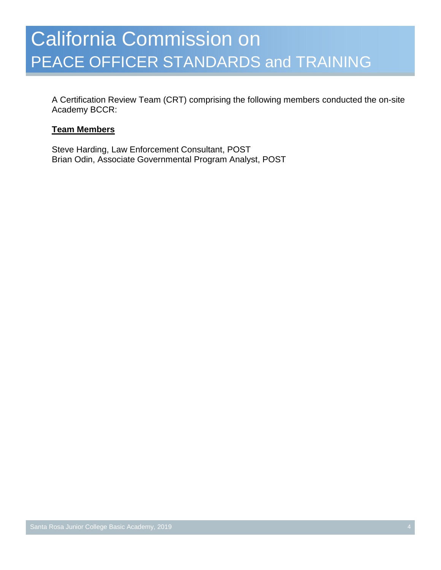A Certification Review Team (CRT) comprising the following members conducted the on-site Academy BCCR:

#### **Team Members**

Steve Harding, Law Enforcement Consultant, POST Brian Odin, Associate Governmental Program Analyst, POST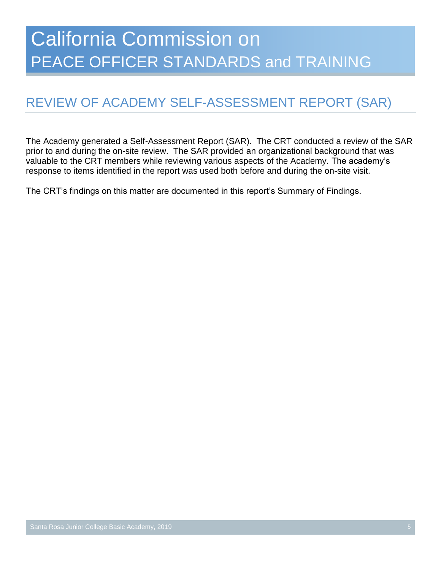## <span id="page-4-0"></span>REVIEW OF ACADEMY SELF-ASSESSMENT REPORT (SAR)

The Academy generated a Self-Assessment Report (SAR). The CRT conducted a review of the SAR prior to and during the on-site review. The SAR provided an organizational background that was valuable to the CRT members while reviewing various aspects of the Academy. The academy's response to items identified in the report was used both before and during the on-site visit.

The CRT's findings on this matter are documented in this report's Summary of Findings.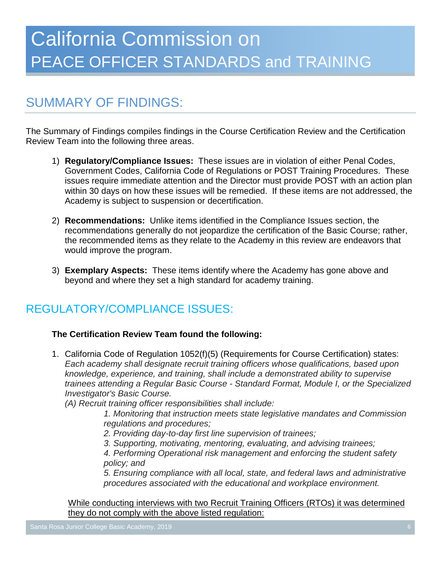## <span id="page-5-0"></span>SUMMARY OF FINDINGS:

The Summary of Findings compiles findings in the Course Certification Review and the Certification Review Team into the following three areas.

- 1) **Regulatory/Compliance Issues:** These issues are in violation of either Penal Codes, Government Codes, California Code of Regulations or POST Training Procedures. These issues require immediate attention and the Director must provide POST with an action plan within 30 days on how these issues will be remedied. If these items are not addressed, the Academy is subject to suspension or decertification.
- 2) **Recommendations:** Unlike items identified in the Compliance Issues section, the recommendations generally do not jeopardize the certification of the Basic Course; rather, the recommended items as they relate to the Academy in this review are endeavors that would improve the program.
- 3) **Exemplary Aspects:** These items identify where the Academy has gone above and beyond and where they set a high standard for academy training.

### <span id="page-5-1"></span>REGULATORY/COMPLIANCE ISSUES:

### **The Certification Review Team found the following:**

1. California Code of Regulation 1052(f)(5) (Requirements for Course Certification) states: *Each academy shall designate recruit training officers whose qualifications, based upon knowledge, experience, and training, shall include a demonstrated ability to supervise trainees attending a Regular Basic Course - Standard Format, Module I, or the Specialized Investigator's Basic Course.*

*(A) Recruit training officer responsibilities shall include:*

*1. Monitoring that instruction meets state legislative mandates and Commission regulations and procedures;*

- *2. Providing day-to-day first line supervision of trainees;*
- *3. Supporting, motivating, mentoring, evaluating, and advising trainees;*

*4. Performing Operational risk management and enforcing the student safety policy; and*

*5. Ensuring compliance with all local, state, and federal laws and administrative procedures associated with the educational and workplace environment.*

While conducting interviews with two Recruit Training Officers (RTOs) it was determined they do not comply with the above listed regulation: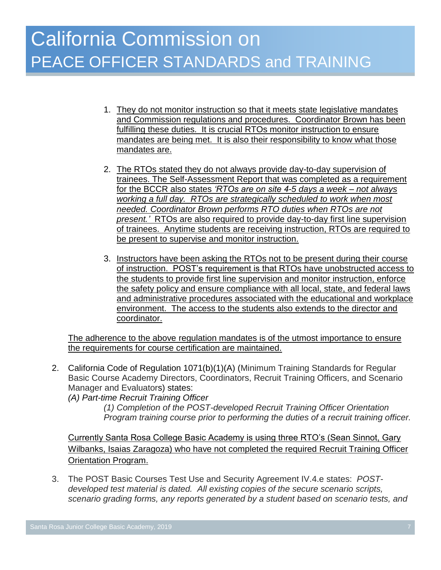- 1. They do not monitor instruction so that it meets state legislative mandates and Commission regulations and procedures. Coordinator Brown has been fulfilling these duties. It is crucial RTOs monitor instruction to ensure mandates are being met. It is also their responsibility to know what those mandates are.
- 2. The RTOs stated they do not always provide day-to-day supervision of trainees. The Self-Assessment Report that was completed as a requirement for the BCCR also states *'RTOs are on site 4-5 days a week – not always working a full day. RTOs are strategically scheduled to work when most needed. Coordinator Brown performs RTO duties when RTOs are not present.'* RTOs are also required to provide day-to-day first line supervision of trainees. Anytime students are receiving instruction, RTOs are required to be present to supervise and monitor instruction.
- 3. Instructors have been asking the RTOs not to be present during their course of instruction. POST's requirement is that RTOs have unobstructed access to the students to provide first line supervision and monitor instruction, enforce the safety policy and ensure compliance with all local, state, and federal laws and administrative procedures associated with the educational and workplace environment. The access to the students also extends to the director and coordinator.

The adherence to the above regulation mandates is of the utmost importance to ensure the requirements for course certification are maintained.

2. California Code of Regulation 1071(b)(1)(A) (Minimum Training Standards for Regular Basic Course Academy Directors, Coordinators, Recruit Training Officers, and Scenario Manager and Evaluators) states:

*(A) Part-time Recruit Training Officer* 

*(1) Completion of the POST-developed Recruit Training Officer Orientation Program training course prior to performing the duties of a recruit training officer.*

Currently Santa Rosa College Basic Academy is using three RTO's (Sean Sinnot, Gary Wilbanks, Isaias Zaragoza) who have not completed the required Recruit Training Officer Orientation Program.

3. The POST Basic Courses Test Use and Security Agreement IV.4.e states: *POSTdeveloped test material is dated. All existing copies of the secure scenario scripts, scenario grading forms, any reports generated by a student based on scenario tests, and*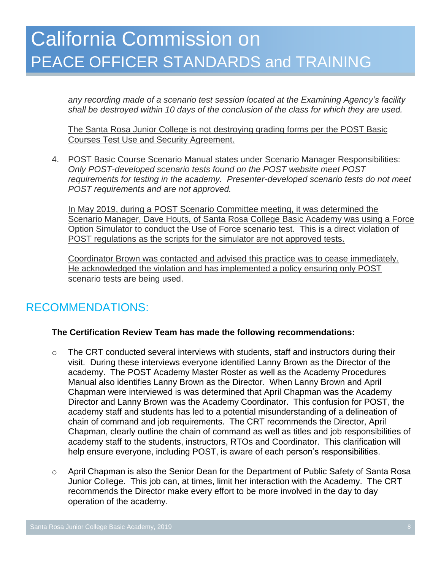*any recording made of a scenario test session located at the Examining Agency's facility shall be destroyed within 10 days of the conclusion of the class for which they are used.* 

The Santa Rosa Junior College is not destroying grading forms per the POST Basic Courses Test Use and Security Agreement.

4. POST Basic Course Scenario Manual states under Scenario Manager Responsibilities: *Only POST-developed scenario tests found on the POST website meet POST requirements for testing in the academy. Presenter-developed scenario tests do not meet POST requirements and are not approved.*

In May 2019, during a POST Scenario Committee meeting, it was determined the Scenario Manager, Dave Houts, of Santa Rosa College Basic Academy was using a Force Option Simulator to conduct the Use of Force scenario test. This is a direct violation of POST regulations as the scripts for the simulator are not approved tests.

Coordinator Brown was contacted and advised this practice was to cease immediately. He acknowledged the violation and has implemented a policy ensuring only POST scenario tests are being used.

### <span id="page-7-0"></span>RECOMMENDATIONS:

### **The Certification Review Team has made the following recommendations:**

- o The CRT conducted several interviews with students, staff and instructors during their visit. During these interviews everyone identified Lanny Brown as the Director of the academy. The POST Academy Master Roster as well as the Academy Procedures Manual also identifies Lanny Brown as the Director. When Lanny Brown and April Chapman were interviewed is was determined that April Chapman was the Academy Director and Lanny Brown was the Academy Coordinator. This confusion for POST, the academy staff and students has led to a potential misunderstanding of a delineation of chain of command and job requirements. The CRT recommends the Director, April Chapman, clearly outline the chain of command as well as titles and job responsibilities of academy staff to the students, instructors, RTOs and Coordinator. This clarification will help ensure everyone, including POST, is aware of each person's responsibilities.
- o April Chapman is also the Senior Dean for the Department of Public Safety of Santa Rosa Junior College. This job can, at times, limit her interaction with the Academy. The CRT recommends the Director make every effort to be more involved in the day to day operation of the academy.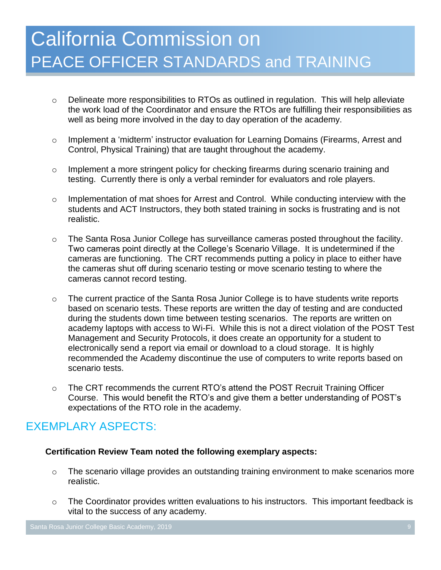- o Delineate more responsibilities to RTOs as outlined in regulation. This will help alleviate the work load of the Coordinator and ensure the RTOs are fulfilling their responsibilities as well as being more involved in the day to day operation of the academy.
- o Implement a 'midterm' instructor evaluation for Learning Domains (Firearms, Arrest and Control, Physical Training) that are taught throughout the academy.
- o Implement a more stringent policy for checking firearms during scenario training and testing. Currently there is only a verbal reminder for evaluators and role players.
- o Implementation of mat shoes for Arrest and Control. While conducting interview with the students and ACT Instructors, they both stated training in socks is frustrating and is not realistic.
- o The Santa Rosa Junior College has surveillance cameras posted throughout the facility. Two cameras point directly at the College's Scenario Village. It is undetermined if the cameras are functioning. The CRT recommends putting a policy in place to either have the cameras shut off during scenario testing or move scenario testing to where the cameras cannot record testing.
- $\circ$  The current practice of the Santa Rosa Junior College is to have students write reports based on scenario tests. These reports are written the day of testing and are conducted during the students down time between testing scenarios. The reports are written on academy laptops with access to Wi-Fi. While this is not a direct violation of the POST Test Management and Security Protocols, it does create an opportunity for a student to electronically send a report via email or download to a cloud storage. It is highly recommended the Academy discontinue the use of computers to write reports based on scenario tests.
- o The CRT recommends the current RTO's attend the POST Recruit Training Officer Course. This would benefit the RTO's and give them a better understanding of POST's expectations of the RTO role in the academy.

### <span id="page-8-0"></span>EXEMPLARY ASPECTS:

### **Certification Review Team noted the following exemplary aspects:**

- o The scenario village provides an outstanding training environment to make scenarios more realistic.
- o The Coordinator provides written evaluations to his instructors. This important feedback is vital to the success of any academy.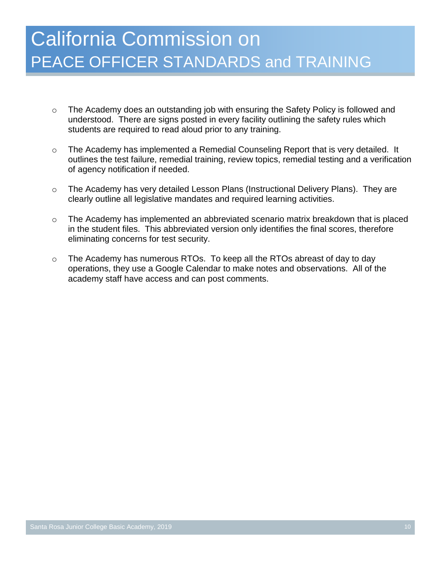- o The Academy does an outstanding job with ensuring the Safety Policy is followed and understood. There are signs posted in every facility outlining the safety rules which students are required to read aloud prior to any training.
- $\circ$  The Academy has implemented a Remedial Counseling Report that is very detailed. It outlines the test failure, remedial training, review topics, remedial testing and a verification of agency notification if needed.
- o The Academy has very detailed Lesson Plans (Instructional Delivery Plans). They are clearly outline all legislative mandates and required learning activities.
- o The Academy has implemented an abbreviated scenario matrix breakdown that is placed in the student files. This abbreviated version only identifies the final scores, therefore eliminating concerns for test security.
- $\circ$  The Academy has numerous RTOs. To keep all the RTOs abreast of day to day operations, they use a Google Calendar to make notes and observations. All of the academy staff have access and can post comments.